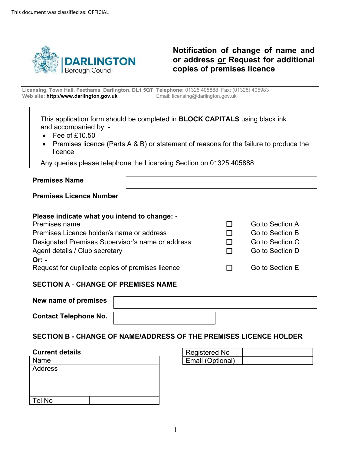

## **or address or Request for additional Notification of change of name and copies of premises licence**

 **Licensing, Town Hall, Feethams, Darlington. DL1 5QT Telephone:** 01325 405888 Fax: (01325) 405983 **Web site: http://www.darlington.gov.uk** Email: licensing@darlington.gov.uk

This application form should be completed in **BLOCK CAPITALS** using black ink and accompanied by: -

- Fee of £10.50
- • Premises licence (Parts A & B) or statement of reasons for the failure to produce the licence

Any queries please telephone the Licensing Section on 01325 405888

| <b>Premises Name</b>           |  |
|--------------------------------|--|
| <b>Premises Licence Number</b> |  |

#### **Please indicate what you intend to change: -**

| Premises name                                    |
|--------------------------------------------------|
| Premises Licence holder/s name or address        |
| Designated Premises Supervisor's name or address |
| Agent details / Club secretary                   |
| Or: -                                            |
| Request for duplicate copies of premises licence |

# □ Go to Section A

- □ Go to Section B Go to Section C
	-
- □ Go to Section D

Go to Section E

## **SECTION A** - **CHANGE OF PREMISES NAME**

| New name of premises         |  |
|------------------------------|--|
| <b>Contact Telephone No.</b> |  |

## **SECTION B - CHANGE OF NAME/ADDRESS OF THE PREMISES LICENCE HOLDER**

#### **Current details**

| Name    |  |
|---------|--|
| Address |  |
|         |  |
|         |  |
|         |  |
| Tel No  |  |

| Registered No    |  |
|------------------|--|
| Email (Optional) |  |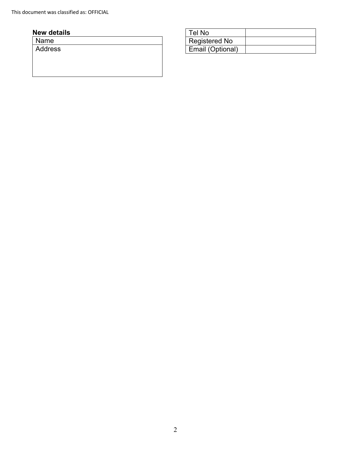## **New details** Tel No

Name **Address**  Registered No Email (Optional)